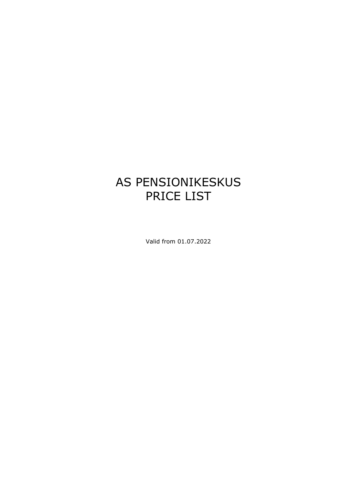# AS PENSIONIKESKUS PRICE LIST

Valid from 01.07.2022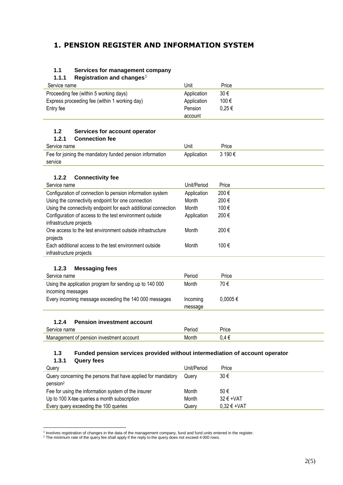# **1. PENSION REGISTER AND INFORMATION SYSTEM**

# **1.1 Services for management company**

#### **1.1.1 Registration and changes**<sup>1</sup>

| Service name                                  | Unit        | Price      |
|-----------------------------------------------|-------------|------------|
| Proceeding fee (within 5 working days)        | Application | 30€        |
| Express proceeding fee (within 1 working day) | Application | 100€       |
| Entry fee                                     | Pension     | $0.25 \in$ |
|                                               | account     |            |

### **1.2 Services for account operator**

| 1.2.1<br><b>Connection fee</b>                           |             |         |
|----------------------------------------------------------|-------------|---------|
| Service name                                             | Unit        | Price   |
| Fee for joining the mandatory funded pension information | Application | 3 190 € |
| service                                                  |             |         |

### **1.2.2 Connectivity fee**

| Price<br>Unit/Period             |
|----------------------------------|
| 200€<br>Application              |
| 200€                             |
| 100€                             |
| 200€<br>Application              |
|                                  |
| 200€                             |
|                                  |
| 100€                             |
|                                  |
| Month<br>Month<br>Month<br>Month |

# **1.2.3 Messaging fees**

| Period              | Price        |
|---------------------|--------------|
| Month               | 70 €         |
| Incoming<br>message | $0.0005 \in$ |
|                     |              |

### **1.2.4 Pension investment account**

| ⌒<br>ame                    | Price |
|-----------------------------|-------|
| coun<br>ann<br>we<br>۱н<br> |       |

### **1.3 Funded pension services provided without intermediation of account operator**

### **1.3.1 Query fees**

| Query                                                        | Unit/Period | Price                  |
|--------------------------------------------------------------|-------------|------------------------|
| Query concerning the persons that have applied for mandatory | Querv       | 30€                    |
| pension <sup>2</sup>                                         |             |                        |
| Fee for using the information system of the insurer          | Month       | 50€                    |
| Up to 100 X-tee queries a month subscription                 | Month       | $32 \text{ } \in$ +VAT |
| Every query exceeding the 100 queries                        | Querv       | $0.32 \in +VAT$        |

<sup>&</sup>lt;sup>1</sup> Involves registration of changes in the data of the management company, fund and fund units entered in the register.<br><sup>2</sup> The minimum rate of the query fee shall apply if the reply to the query does not exceed 4 000 row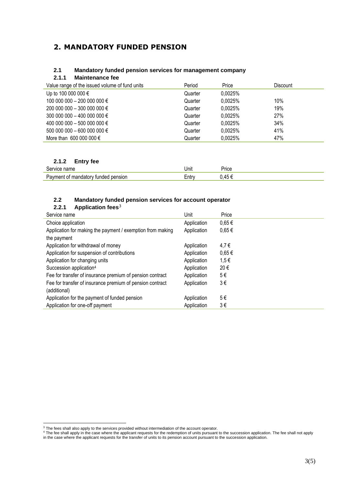# **2. MANDATORY FUNDED PENSION**

#### **2.1 Mandatory funded pension services for management company**

**2.1.1 Maintenance fee**

| Value range of the issued volume of fund units | Period  | Price   | <b>Discount</b> |
|------------------------------------------------|---------|---------|-----------------|
| Up to 100 000 000 €                            | Quarter | 0.0025% |                 |
| 100 000 000 − 200 000 000 €                    | Quarter | 0.0025% | 10%             |
| 200 000 000 − 300 000 000 €                    | Quarter | 0.0025% | 19%             |
| 300 000 000 − 400 000 000 €                    | Quarter | 0.0025% | 27%             |
| 400 000 000 − 500 000 000 €                    | Quarter | 0.0025% | 34%             |
| $50000000 - 6000000000$                        | Quarter | 0.0025% | 41%             |
| More than 600 000 000 $\epsilon$               | Quarter | 0.0025% | 47%             |

### **2.1.2 Entry fee**

| ۱m٬<br>1/16<br>$\mathbf{H}$           | Unit | ≌rice |
|---------------------------------------|------|-------|
| tunder<br>.nsior<br>ומח<br>іятог<br>` | Enu  |       |

#### **2.2 Mandatory funded pension services for account operator 2.2.1 Application fees**<sup>3</sup>

| 4.4. I<br><b>Application rees</b>                          |             |            |
|------------------------------------------------------------|-------------|------------|
| Service name                                               | Unit        | Price      |
| Choice application                                         | Application | $0.65 \in$ |
| Application for making the payment / exemption from making | Application | $0,65 \in$ |
| the payment                                                |             |            |
| Application for withdrawal of money                        | Application | 4,7€       |
| Application for suspension of contributions                | Application | $0.65 \in$ |
| Application for changing units                             | Application | 1,5€       |
| Succession application <sup>4</sup>                        | Application | 20€        |
| Fee for transfer of insurance premium of pension contract  | Application | 5€         |
| Fee for transfer of insurance premium of pension contract  | Application | 3€         |
| (additional)                                               |             |            |
| Application for the payment of funded pension              | Application | 5€         |
| Application for one-off payment                            | Application | $3 \in$    |

 $3$  The fees shall also apply to the services provided without intermediation of the account operator.

<sup>&</sup>lt;sup>4</sup> The fee shall apply in the case where the applicant requests for the redemption of units pursuant to the succession application. The fee shall not apply in the case where the applicant requests for the transfer of units to its pension account pursuant to the succession application.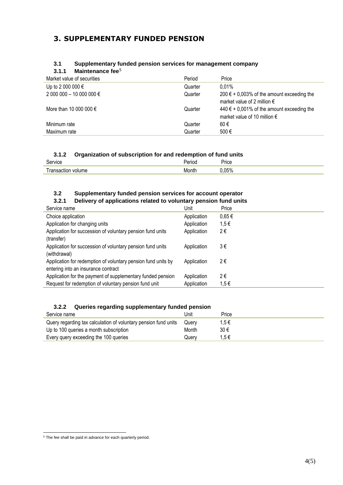# **3. SUPPLEMENTARY FUNDED PENSION**

### **3.1 Supplementary funded pension services for management company**

# **3.1.1 Maintenance fee**<sup>5</sup>

| Market value of securities | Period  | Price                                                                                   |
|----------------------------|---------|-----------------------------------------------------------------------------------------|
| Up to 2 000 000 €          | Quarter | $0.01\%$                                                                                |
| 2 000 000 − 10 000 000 €   | Quarter | $200 \t∈ +0,003%$ of the amount exceeding the<br>market value of 2 million $\epsilon$   |
| More than 10 000 000 $\in$ | Quarter | $440 \in +0,001\%$ of the amount exceeding the<br>market value of 10 million $\epsilon$ |
| Minimum rate               | Quarter | 60€                                                                                     |
| Maximum rate               | Quarter | 500€                                                                                    |

### **3.1.2 Organization of subscription for and redemption of fund units**

| $\mathbf{u}$<br>VIG. |    | 'rice |
|----------------------|----|-------|
| ٦Ε.<br>ווור<br>w     | ™° | $-0.$ |

# **3.2 Supplementary funded pension services for account operator**

#### **3.2.1 Delivery of applications related to voluntary pension fund units**

| Service name                                                                                         | Unit        | Price      |
|------------------------------------------------------------------------------------------------------|-------------|------------|
| Choice application                                                                                   | Application | $0,65 \in$ |
| Application for changing units                                                                       | Application | 1,5€       |
| Application for succession of voluntary pension fund units<br>(transfer)                             | Application | 2€         |
| Application for succession of voluntary pension fund units<br>(withdrawal)                           | Application | 3€         |
| Application for redemption of voluntary pension fund units by<br>entering into an insurance contract | Application | 2€         |
| Application for the payment of supplementary funded pension                                          | Application | 2€         |
| Request for redemption of voluntary pension fund unit                                                | Application | $1,5 \in$  |
|                                                                                                      |             |            |

# **3.2.2 Queries regarding supplementary funded pension**

| Service name                                                    | Unit  | Price |  |
|-----------------------------------------------------------------|-------|-------|--|
| Query regarding tax calculation of voluntary pension fund units | Querv | 1.5€  |  |
| Up to 100 queries a month subscription                          | Month | 30€   |  |
| Every query exceeding the 100 queries                           | Querv | 1.5€  |  |

<sup>&</sup>lt;sup>5</sup> The fee shall be paid in advance for each quarterly period.